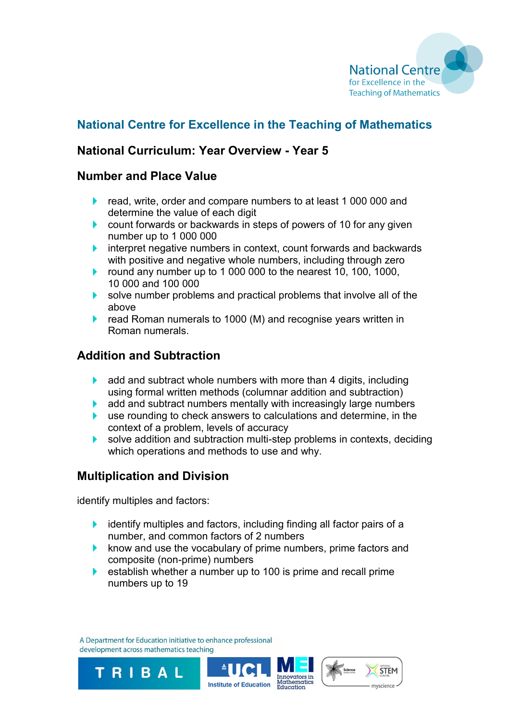

# **National Centre for Excellence in the Teaching of Mathematics**

## **National Curriculum: Year Overview - Year 5**

#### **Number and Place Value**

- **F** read, write, order and compare numbers to at least 1 000 000 and determine the value of each digit
- **Count forwards or backwards in steps of powers of 10 for any given** number up to 1 000 000
- $\blacktriangleright$  interpret negative numbers in context, count forwards and backwards with positive and negative whole numbers, including through zero
- Þ. round any number up to 1 000 000 to the nearest 10, 100, 1000, 10 000 and 100 000
- solve number problems and practical problems that involve all of the above
- read Roman numerals to 1000 (M) and recognise years written in Roman numerals.

## **Addition and Subtraction**

- ¥. add and subtract whole numbers with more than 4 digits, including using formal written methods (columnar addition and subtraction)
- add and subtract numbers mentally with increasingly large numbers Þ.
- **EXTERN** use rounding to check answers to calculations and determine, in the context of a problem, levels of accuracy
- solve addition and subtraction multi-step problems in contexts, deciding b. which operations and methods to use and why.

## **Multiplication and Division**

identify multiples and factors:

TRIBAL

- identify multiples and factors, including finding all factor pairs of a Þ. number, and common factors of 2 numbers
- $\blacktriangleright$  know and use the vocabulary of prime numbers, prime factors and composite (non-prime) numbers
- Þ. establish whether a number up to 100 is prime and recall prime numbers up to 19

A Department for Education initiative to enhance professional development across mathematics teaching



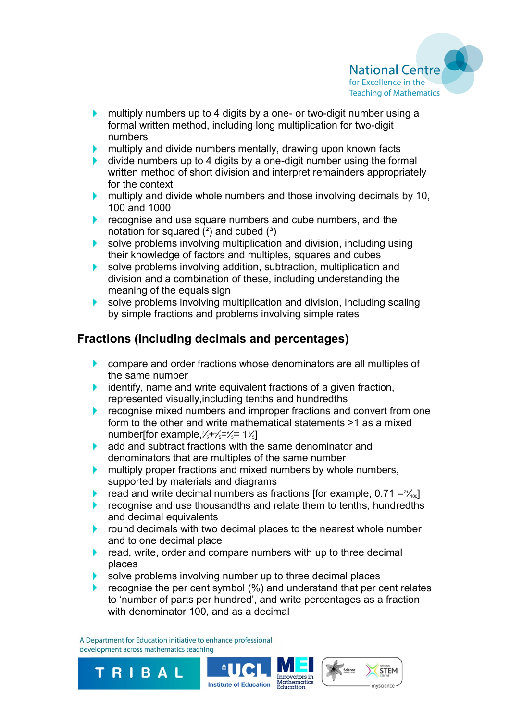

- multiply numbers up to 4 digits by a one- or two-digit number using a Þ. formal written method, including long multiplication for two-digit numbers
- multiply and divide numbers mentally, drawing upon known facts Þ.
- divide numbers up to 4 digits by a one-digit number using the formal Þ. written method of short division and interpret remainders appropriately for the context
- $\blacktriangleright$  multiply and divide whole numbers and those involving decimals by 10, 100 and 1000
- recognise and use square numbers and cube numbers, and the notation for squared  $(2)$  and cubed  $(3)$
- **Solve problems involving multiplication and division, including using** their knowledge of factors and multiples, squares and cubes
- k. solve problems involving addition, subtraction, multiplication and division and a combination of these, including understanding the meaning of the equals sign
- solve problems involving multiplication and division, including scaling k. by simple fractions and problems involving simple rates

## **Fractions (including decimals and percentages)**

- **Compare and order fractions whose denominators are all multiples of** the same number
- $\blacktriangleright$  identify, name and write equivalent fractions of a given fraction, represented visually,including tenths and hundredths
- recognise mixed numbers and improper fractions and convert from one k. form to the other and write mathematical statements >1 as a mixed number[for example, $\frac{2}{5} + \frac{1}{5} = \frac{6}{5} = 1\frac{1}{5}$ ]
- Þ. add and subtract fractions with the same denominator and denominators that are multiples of the same number
- multiply proper fractions and mixed numbers by whole numbers, Þ. supported by materials and diagrams
- read and write decimal numbers as fractions [for example,  $0.71 = \frac{7}{100}$ ] Þ.
- recognise and use thousandths and relate them to tenths, hundredths and decimal equivalents
- round decimals with two decimal places to the nearest whole number k. and to one decimal place
- read, write, order and compare numbers with up to three decimal Þ. places
- solve problems involving number up to three decimal places
- recognise the per cent symbol (%) and understand that per cent relates to 'number of parts per hundred', and write percentages as a fraction with denominator 100, and as a decimal

**STEM** 

myscience

A Department for Education initiative to enhance professional development across mathematics teaching

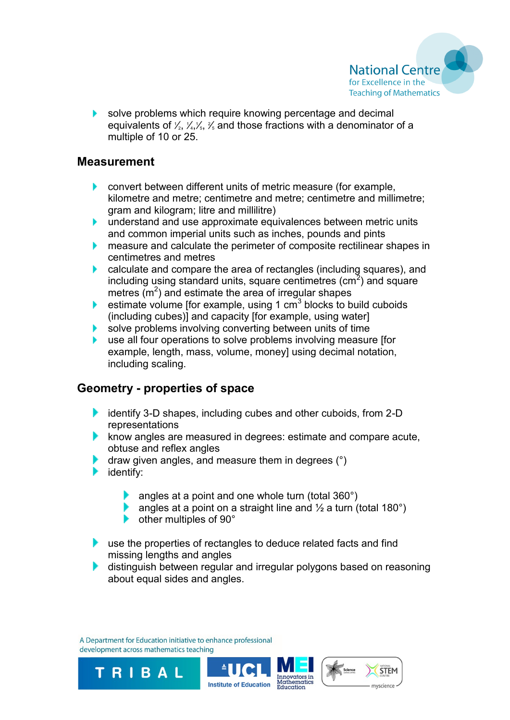

solve problems which require knowing percentage and decimal equivalents of  $\frac{1}{2}$ ,  $\frac{1}{4}$ ,  $\frac{1}{5}$ ,  $\frac{2}{5}$  and those fractions with a denominator of a multiple of 10 or 25.

### **Measurement**

- **Convert between different units of metric measure (for example,** kilometre and metre; centimetre and metre; centimetre and millimetre; gram and kilogram; litre and millilitre)
- k. understand and use approximate equivalences between metric units and common imperial units such as inches, pounds and pints
- measure and calculate the perimeter of composite rectilinear shapes in Þ. centimetres and metres
- k. calculate and compare the area of rectangles (including squares), and including using standard units, square centimetres  $\text{(cm}^2\text{)}$  and square metres  $(m<sup>2</sup>)$  and estimate the area of irregular shapes
- estimate volume [for example, using 1  $cm<sup>3</sup>$  blocks to build cuboids (including cubes)] and capacity [for example, using water]
- solve problems involving converting between units of time Þ.
- use all four operations to solve problems involving measure [for Þ. example, length, mass, volume, money] using decimal notation, including scaling.

### **Geometry - properties of space**

- identify 3-D shapes, including cubes and other cuboids, from 2-D representations
- $\blacktriangleright$  know angles are measured in degrees: estimate and compare acute, obtuse and reflex angles
- draw given angles, and measure them in degrees (°)
- identify:
	- angles at a point and one whole turn (total  $360^\circ$ )
	- angles at a point on a straight line and  $\frac{1}{2}$  a turn (total 180°)
	- **►** other multiples of 90°
- use the properties of rectangles to deduce related facts and find Þ. missing lengths and angles
- distinguish between regular and irregular polygons based on reasoning Þ. about equal sides and angles.

A Department for Education initiative to enhance professional development across mathematics teaching

TRIBAL